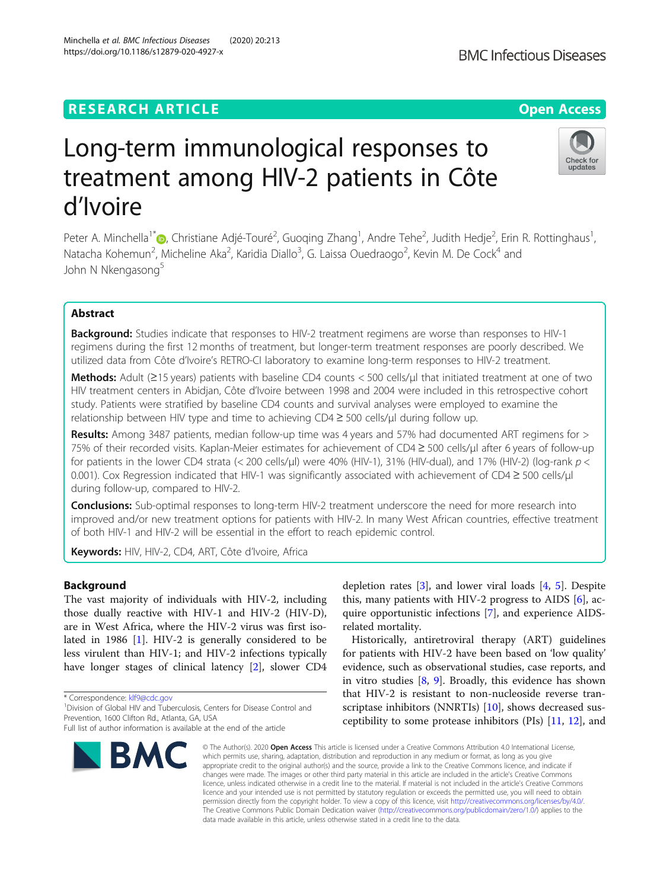## **RESEARCH ARTICLE Example 2014 12:30 The Contract of Contract ACCESS**

# Long-term immunological responses to treatment among HIV-2 patients in Côte d'Ivoire

Peter A. Minchella<sup>1\*</sup>®[,](http://orcid.org/0000-0002-6295-0998) Christiane Adjé-Touré<sup>2</sup>, Guoqing Zhang<sup>1</sup>, Andre Tehe<sup>2</sup>, Judith Hedje<sup>2</sup>, Erin R. Rottinghaus<sup>1</sup> , Natacha Kohemun<sup>2</sup>, Micheline Aka<sup>2</sup>, Karidia Diallo<sup>3</sup>, G. Laissa Ouedraogo<sup>2</sup>, Kevin M. De Cock<sup>4</sup> and John N Nkengasong<sup>5</sup>

## Abstract

**Background:** Studies indicate that responses to HIV-2 treatment regimens are worse than responses to HIV-1 regimens during the first 12 months of treatment, but longer-term treatment responses are poorly described. We utilized data from Côte d'Ivoire's RETRO-CI laboratory to examine long-term responses to HIV-2 treatment.

Methods: Adult (≥15 years) patients with baseline CD4 counts < 500 cells/µl that initiated treatment at one of two HIV treatment centers in Abidjan, Côte d'Ivoire between 1998 and 2004 were included in this retrospective cohort study. Patients were stratified by baseline CD4 counts and survival analyses were employed to examine the relationship between HIV type and time to achieving CD4 ≥ 500 cells/μl during follow up.

Results: Among 3487 patients, median follow-up time was 4 years and 57% had documented ART regimens for > 75% of their recorded visits. Kaplan-Meier estimates for achievement of CD4 ≥ 500 cells/μl after 6 years of follow-up for patients in the lower CD4 strata (< 200 cells/µl) were 40% (HIV-1), 31% (HIV-dual), and 17% (HIV-2) (log-rank  $p <$ 0.001). Cox Regression indicated that HIV-1 was significantly associated with achievement of CD4 ≥ 500 cells/μl during follow-up, compared to HIV-2.

**Conclusions:** Sub-optimal responses to long-term HIV-2 treatment underscore the need for more research into improved and/or new treatment options for patients with HIV-2. In many West African countries, effective treatment of both HIV-1 and HIV-2 will be essential in the effort to reach epidemic control.

Keywords: HIV, HIV-2, CD4, ART, Côte d'Ivoire, Africa

## Background

The vast majority of individuals with HIV-2, including those dually reactive with HIV-1 and HIV-2 (HIV-D), are in West Africa, where the HIV-2 virus was first isolated in 1986 [\[1](#page-5-0)]. HIV-2 is generally considered to be less virulent than HIV-1; and HIV-2 infections typically have longer stages of clinical latency [[2\]](#page-5-0), slower CD4

\* Correspondence: [klf9@cdc.gov](mailto:klf9@cdc.gov) <sup>1</sup>

<sup>1</sup> Division of Global HIV and Tuberculosis, Centers for Disease Control and Prevention, 1600 Clifton Rd., Atlanta, GA, USA

**BMC** 

## depletion rates  $[3]$  $[3]$ , and lower viral loads  $[4, 5]$  $[4, 5]$  $[4, 5]$  $[4, 5]$ . Despite this, many patients with HIV-2 progress to AIDS [[6\]](#page-5-0), acquire opportunistic infections [[7](#page-5-0)], and experience AIDSrelated mortality.

Historically, antiretroviral therapy (ART) guidelines for patients with HIV-2 have been based on 'low quality' evidence, such as observational studies, case reports, and in vitro studies [[8,](#page-5-0) [9\]](#page-5-0). Broadly, this evidence has shown that HIV-2 is resistant to non-nucleoside reverse tran-scriptase inhibitors (NNRTIs) [[10\]](#page-5-0), shows decreased susceptibility to some protease inhibitors (PIs) [[11,](#page-5-0) [12\]](#page-5-0), and

© The Author(s), 2020 **Open Access** This article is licensed under a Creative Commons Attribution 4.0 International License, which permits use, sharing, adaptation, distribution and reproduction in any medium or format, as long as you give appropriate credit to the original author(s) and the source, provide a link to the Creative Commons licence, and indicate if changes were made. The images or other third party material in this article are included in the article's Creative Commons licence, unless indicated otherwise in a credit line to the material. If material is not included in the article's Creative Commons licence and your intended use is not permitted by statutory regulation or exceeds the permitted use, you will need to obtain permission directly from the copyright holder. To view a copy of this licence, visit [http://creativecommons.org/licenses/by/4.0/.](http://creativecommons.org/licenses/by/4.0/) The Creative Commons Public Domain Dedication waiver [\(http://creativecommons.org/publicdomain/zero/1.0/](http://creativecommons.org/publicdomain/zero/1.0/)) applies to the data made available in this article, unless otherwise stated in a credit line to the data.

Minchella et al. BMC Infectious Diseases (2020) 20:213 https://doi.org/10.1186/s12879-020-4927-x









Full list of author information is available at the end of the article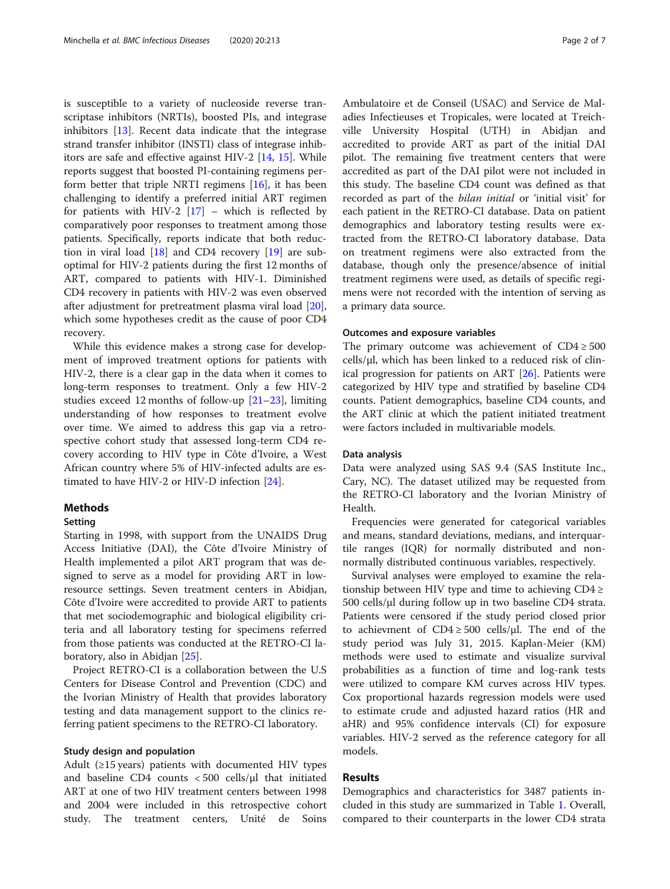is susceptible to a variety of nucleoside reverse transcriptase inhibitors (NRTIs), boosted PIs, and integrase inhibitors [[13\]](#page-5-0). Recent data indicate that the integrase strand transfer inhibitor (INSTI) class of integrase inhibitors are safe and effective against HIV-2 [\[14,](#page-5-0) [15](#page-5-0)]. While reports suggest that boosted PI-containing regimens perform better that triple NRTI regimens [\[16\]](#page-5-0), it has been challenging to identify a preferred initial ART regimen for patients with HIV-2  $[17]$  $[17]$  – which is reflected by comparatively poor responses to treatment among those patients. Specifically, reports indicate that both reduction in viral load [[18](#page-5-0)] and CD4 recovery [[19](#page-5-0)] are suboptimal for HIV-2 patients during the first 12 months of ART, compared to patients with HIV-1. Diminished CD4 recovery in patients with HIV-2 was even observed after adjustment for pretreatment plasma viral load [\[20](#page-5-0)], which some hypotheses credit as the cause of poor CD4 recovery.

While this evidence makes a strong case for development of improved treatment options for patients with HIV-2, there is a clear gap in the data when it comes to long-term responses to treatment. Only a few HIV-2 studies exceed 12 months of follow-up  $[21-23]$  $[21-23]$  $[21-23]$ , limiting understanding of how responses to treatment evolve over time. We aimed to address this gap via a retrospective cohort study that assessed long-term CD4 recovery according to HIV type in Côte d'Ivoire, a West African country where 5% of HIV-infected adults are estimated to have HIV-2 or HIV-D infection [\[24](#page-6-0)].

## **Methods**

#### Setting

Starting in 1998, with support from the UNAIDS Drug Access Initiative (DAI), the Côte d'Ivoire Ministry of Health implemented a pilot ART program that was designed to serve as a model for providing ART in lowresource settings. Seven treatment centers in Abidjan, Côte d'Ivoire were accredited to provide ART to patients that met sociodemographic and biological eligibility criteria and all laboratory testing for specimens referred from those patients was conducted at the RETRO-CI laboratory, also in Abidjan [\[25](#page-6-0)].

Project RETRO-CI is a collaboration between the U.S Centers for Disease Control and Prevention (CDC) and the Ivorian Ministry of Health that provides laboratory testing and data management support to the clinics referring patient specimens to the RETRO-CI laboratory.

#### Study design and population

Adult ( $\geq$ 15 years) patients with documented HIV types and baseline CD4 counts  $<$  500 cells/ $\mu$ l that initiated ART at one of two HIV treatment centers between 1998 and 2004 were included in this retrospective cohort study. The treatment centers, Unité de Soins

Ambulatoire et de Conseil (USAC) and Service de Maladies Infectieuses et Tropicales, were located at Treichville University Hospital (UTH) in Abidjan and accredited to provide ART as part of the initial DAI pilot. The remaining five treatment centers that were accredited as part of the DAI pilot were not included in this study. The baseline CD4 count was defined as that recorded as part of the bilan initial or 'initial visit' for each patient in the RETRO-CI database. Data on patient demographics and laboratory testing results were extracted from the RETRO-CI laboratory database. Data on treatment regimens were also extracted from the database, though only the presence/absence of initial treatment regimens were used, as details of specific regimens were not recorded with the intention of serving as a primary data source.

#### Outcomes and exposure variables

The primary outcome was achievement of  $CD4 \geq 500$ cells/μl, which has been linked to a reduced risk of clinical progression for patients on ART [[26](#page-6-0)]. Patients were categorized by HIV type and stratified by baseline CD4 counts. Patient demographics, baseline CD4 counts, and the ART clinic at which the patient initiated treatment were factors included in multivariable models.

#### Data analysis

Data were analyzed using SAS 9.4 (SAS Institute Inc., Cary, NC). The dataset utilized may be requested from the RETRO-CI laboratory and the Ivorian Ministry of Health.

Frequencies were generated for categorical variables and means, standard deviations, medians, and interquartile ranges (IQR) for normally distributed and nonnormally distributed continuous variables, respectively.

Survival analyses were employed to examine the relationship between HIV type and time to achieving  $CD4 \geq$ 500 cells/μl during follow up in two baseline CD4 strata. Patients were censored if the study period closed prior to achievment of  $CD4 \ge 500$  cells/ $\mu$ l. The end of the study period was July 31, 2015. Kaplan-Meier (KM) methods were used to estimate and visualize survival probabilities as a function of time and log-rank tests were utilized to compare KM curves across HIV types. Cox proportional hazards regression models were used to estimate crude and adjusted hazard ratios (HR and aHR) and 95% confidence intervals (CI) for exposure variables. HIV-2 served as the reference category for all models.

## Results

Demographics and characteristics for 3487 patients included in this study are summarized in Table [1](#page-2-0). Overall, compared to their counterparts in the lower CD4 strata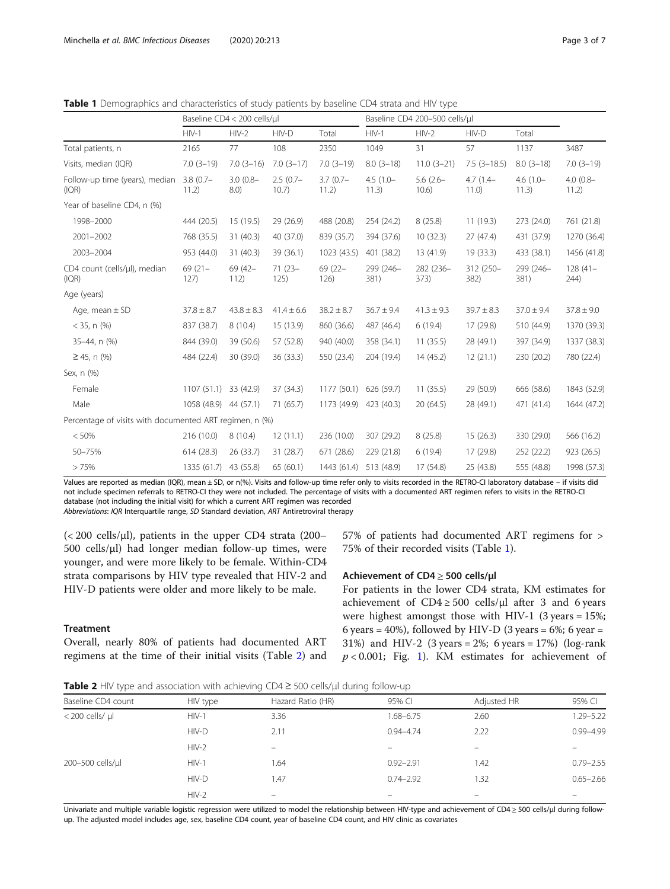|                                                         | Baseline CD4 < 200 cells/ul |                    |                     |                      | Baseline CD4 200-500 cells/ul |                      |                     |                      |                      |
|---------------------------------------------------------|-----------------------------|--------------------|---------------------|----------------------|-------------------------------|----------------------|---------------------|----------------------|----------------------|
|                                                         | $HIV-1$                     | $HIV-2$            | HIV-D               | Total                | $HIV-1$                       | $HIV-2$              | HIV-D               | Total                |                      |
| Total patients, n                                       | 2165                        | 77                 | 108                 | 2350                 | 1049                          | 31                   | 57                  | 1137                 | 3487                 |
| Visits, median (IQR)                                    | $7.0(3-19)$                 | $7.0(3-16)$        | $7.0(3-17)$         | $7.0(3-19)$          | $8.0(3-18)$                   | $11.0(3-21)$         | $7.5(3-18.5)$       | $8.0(3-18)$          | $7.0(3-19)$          |
| Follow-up time (years), median<br>(IQR)                 | $3.8(0.7 -$<br>11.2)        | $3.0(0.8 -$<br>8.0 | $2.5(0.7-$<br>10.7) | $3.7(0.7 -$<br>11.2) | $4.5(1.0 -$<br>11.3)          | $5.6(2.6 -$<br>10.6) | $4.7(1.4-$<br>11.0) | $4.6(1.0 -$<br>11.3) | $4.0(0.8 -$<br>11.2) |
| Year of baseline CD4, n (%)                             |                             |                    |                     |                      |                               |                      |                     |                      |                      |
| 1998-2000                                               | 444 (20.5)                  | 15 (19.5)          | 29 (26.9)           | 488 (20.8)           | 254 (24.2)                    | 8(25.8)              | 11(19.3)            | 273 (24.0)           | 761 (21.8)           |
| 2001-2002                                               | 768 (35.5)                  | 31 (40.3)          | 40 (37.0)           | 839 (35.7)           | 394 (37.6)                    | 10(32.3)             | 27(47.4)            | 431 (37.9)           | 1270 (36.4)          |
| 2003-2004                                               | 953 (44.0)                  | 31(40.3)           | 39 (36.1)           | 1023 (43.5)          | 401 (38.2)                    | 13 (41.9)            | 19 (33.3)           | 433 (38.1)           | 1456 (41.8)          |
| CD4 count (cells/µl), median<br>(IQR)                   | $69(21 -$<br>127)           | 69 (42-<br>112)    | $71(23 -$<br>125)   | 69 (22-<br>126)      | 299 (246-<br>381)             | 282 (236-<br>373)    | 312 (250-<br>382)   | 299 (246-<br>381)    | $128(41 -$<br>244)   |
| Age (years)                                             |                             |                    |                     |                      |                               |                      |                     |                      |                      |
| Age, mean $\pm$ SD                                      | $37.8 \pm 8.7$              | $43.8 \pm 8.3$     | $41.4 \pm 6.6$      | $38.2 \pm 8.7$       | $36.7 \pm 9.4$                | $41.3 \pm 9.3$       | $39.7 \pm 8.3$      | $37.0 \pm 9.4$       | $37.8 \pm 9.0$       |
| $<$ 35, n $(\%)$                                        | 837 (38.7)                  | 8(10.4)            | 15 (13.9)           | 860 (36.6)           | 487 (46.4)                    | 6(19.4)              | 17 (29.8)           | 510 (44.9)           | 1370 (39.3)          |
| 35-44, n (%)                                            | 844 (39.0)                  | 39 (50.6)          | 57 (52.8)           | 940 (40.0)           | 358 (34.1)                    | 11(35.5)             | 28 (49.1)           | 397 (34.9)           | 1337 (38.3)          |
| $\geq$ 45, n (%)                                        | 484 (22.4)                  | 30 (39.0)          | 36 (33.3)           | 550 (23.4)           | 204 (19.4)                    | 14(45.2)             | 12(21.1)            | 230 (20.2)           | 780 (22.4)           |
| Sex, n (%)                                              |                             |                    |                     |                      |                               |                      |                     |                      |                      |
| Female                                                  | 1107 (51.1) 33 (42.9)       |                    | 37 (34.3)           | 1177(50.1)           | 626 (59.7)                    | 11(35.5)             | 29 (50.9)           | 666 (58.6)           | 1843 (52.9)          |
| Male                                                    | 1058 (48.9) 44 (57.1)       |                    | 71(65.7)            | 1173 (49.9)          | 423 (40.3)                    | 20(64.5)             | 28 (49.1)           | 471 (41.4)           | 1644 (47.2)          |
| Percentage of visits with documented ART regimen, n (%) |                             |                    |                     |                      |                               |                      |                     |                      |                      |
| < 50%                                                   | 216 (10.0)                  | 8(10.4)            | 12(11.1)            | 236 (10.0)           | 307 (29.2)                    | 8(25.8)              | 15(26.3)            | 330 (29.0)           | 566 (16.2)           |
| 50-75%                                                  | 614(28.3)                   | 26 (33.7)          | 31 (28.7)           | 671 (28.6)           | 229 (21.8)                    | 6(19.4)              | 17 (29.8)           | 252 (22.2)           | 923 (26.5)           |
| >75%                                                    | 1335 (61.7) 43 (55.8)       |                    | 65 (60.1)           | 1443 (61.4)          | 513 (48.9)                    | 17 (54.8)            | 25 (43.8)           | 555 (48.8)           | 1998 (57.3)          |

<span id="page-2-0"></span>**Table 1** Demographics and characteristics of study patients by baseline CD4 strata and HIV type

Values are reported as median (IQR), mean ± SD, or n(%). Visits and follow-up time refer only to visits recorded in the RETRO-CI laboratory database – if visits did not include specimen referrals to RETRO-CI they were not included. The percentage of visits with a documented ART regimen refers to visits in the RETRO-CI database (not including the initial visit) for which a current ART regimen was recorded Abbreviations: IQR Interquartile range, SD Standard deviation, ART Antiretroviral therapy

 $\langle$  < 200 cells/ $\mu$ l), patients in the upper CD4 strata (200– 500 cells/μl) had longer median follow-up times, were younger, and were more likely to be female. Within-CD4 strata comparisons by HIV type revealed that HIV-2 and HIV-D patients were older and more likely to be male.

Overall, nearly 80% of patients had documented ART regimens at the time of their initial visits (Table 2) and

**Treatment** 

57% of patients had documented ART regimens for > 75% of their recorded visits (Table 1).

## Achievement of CD4 ≥ 500 cells/μl

For patients in the lower CD4 strata, KM estimates for achievement of  $CD4 \ge 500$  cells/ $\mu$ l after 3 and 6 years were highest amongst those with HIV-1 (3 years  $= 15\%$ ; 6 years = 40%), followed by HIV-D (3 years = 6%; 6 year = 31%) and HIV-2 (3 years =  $2\%$ ; 6 years =  $17\%$ ) (log-rank  $p < 0.001$ ; Fig. [1\)](#page-3-0). KM estimates for achievement of

Table 2 HIV type and association with achieving CD4 ≥ 500 cells/µl during follow-up

| Baseline CD4 count     | HIV type | Hazard Ratio (HR)        | 95% CI        | Adjusted HR | 95% CI        |
|------------------------|----------|--------------------------|---------------|-------------|---------------|
| $<$ 200 cells/ $\mu$ l | $HIV-1$  | 3.36                     | 1.68-6.75     | 2.60        | 1.29-5.22     |
|                        | HIV-D    | 2.11                     | $0.94 - 4.74$ | 2.22        | $0.99 - 4.99$ |
|                        | $HIV-2$  |                          |               |             |               |
| 200-500 cells/µl       | $HIV-1$  | 1.64                     | $0.92 - 2.91$ | 1.42        | $0.79 - 2.55$ |
|                        | HIV-D    | 1.47                     | $0.74 - 2.92$ | 1.32        | $0.65 - 2.66$ |
|                        | $HIV-2$  | $\overline{\phantom{0}}$ |               | -           |               |

Univariate and multiple variable logistic regression were utilized to model the relationship between HIV-type and achievement of CD4 ≥ 500 cells/µl during followup. The adjusted model includes age, sex, baseline CD4 count, year of baseline CD4 count, and HIV clinic as covariates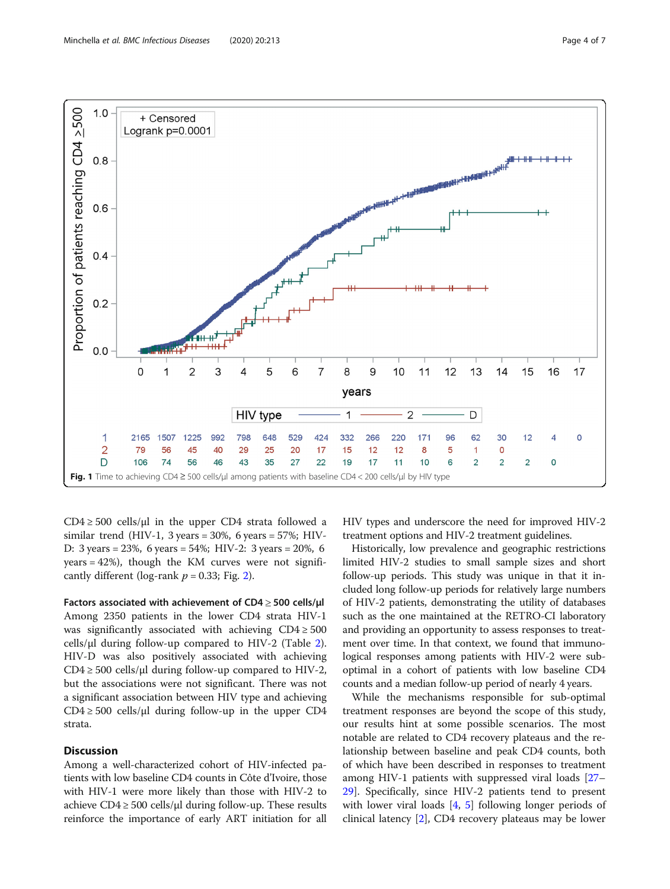<span id="page-3-0"></span>

 $CD4 \ge 500$  cells/µl in the upper CD4 strata followed a similar trend (HIV-1, 3 years =  $30\%$ , 6 years =  $57\%$ ; HIV-D: 3 years = 23%, 6 years = 54%; HIV-2: 3 years = 20%, 6  $years = 42\%)$ , though the KM curves were not significantly different (log-rank  $p = 0.33$ ; Fig. [2\)](#page-4-0).

Factors associated with achievement of  $CD4 \geq 500$  cells/ $\mu$ l Among 2350 patients in the lower CD4 strata HIV-1 was significantly associated with achieving  $CD4 \geq 500$ cells/ $\mu$ l during follow-up compared to HIV-[2](#page-2-0) (Table 2). HIV-D was also positively associated with achieving  $CD4 \ge 500$  cells/µl during follow-up compared to HIV-2, but the associations were not significant. There was not a significant association between HIV type and achieving  $CD4 \ge 500$  cells/ $\mu$ l during follow-up in the upper CD4 strata.

## **Discussion**

Among a well-characterized cohort of HIV-infected patients with low baseline CD4 counts in Côte d'Ivoire, those with HIV-1 were more likely than those with HIV-2 to achieve  $CD4 \geq 500$  cells/µl during follow-up. These results reinforce the importance of early ART initiation for all HIV types and underscore the need for improved HIV-2 treatment options and HIV-2 treatment guidelines.

Historically, low prevalence and geographic restrictions limited HIV-2 studies to small sample sizes and short follow-up periods. This study was unique in that it included long follow-up periods for relatively large numbers of HIV-2 patients, demonstrating the utility of databases such as the one maintained at the RETRO-CI laboratory and providing an opportunity to assess responses to treatment over time. In that context, we found that immunological responses among patients with HIV-2 were suboptimal in a cohort of patients with low baseline CD4 counts and a median follow-up period of nearly 4 years.

While the mechanisms responsible for sub-optimal treatment responses are beyond the scope of this study, our results hint at some possible scenarios. The most notable are related to CD4 recovery plateaus and the relationship between baseline and peak CD4 counts, both of which have been described in responses to treatment among HIV-1 patients with suppressed viral loads [[27](#page-6-0)– [29\]](#page-6-0). Specifically, since HIV-2 patients tend to present with lower viral loads [[4,](#page-5-0) [5](#page-5-0)] following longer periods of clinical latency [\[2](#page-5-0)], CD4 recovery plateaus may be lower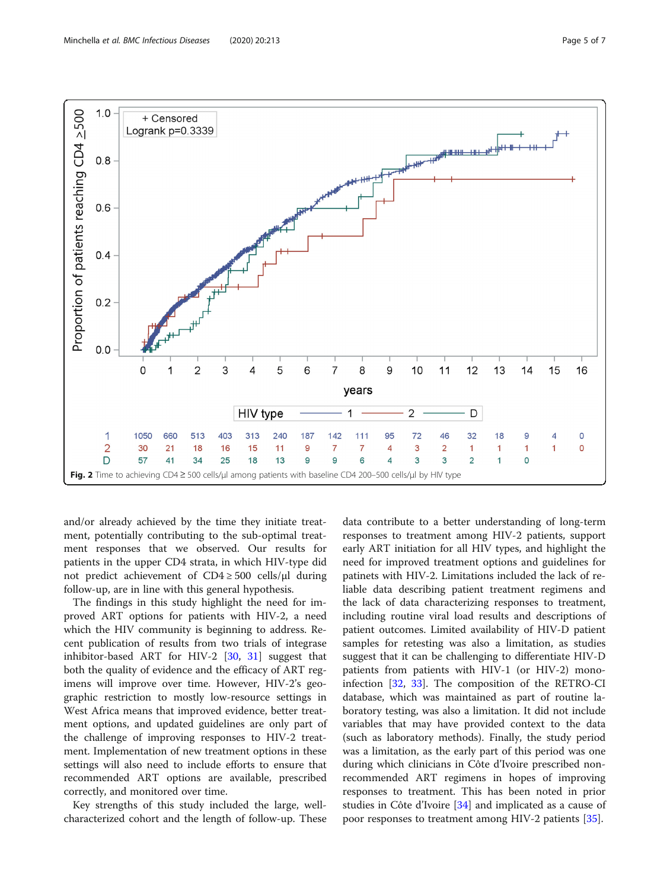<span id="page-4-0"></span>

and/or already achieved by the time they initiate treatment, potentially contributing to the sub-optimal treatment responses that we observed. Our results for patients in the upper CD4 strata, in which HIV-type did not predict achievement of CD4 ≥ 500 cells/μl during follow-up, are in line with this general hypothesis.

The findings in this study highlight the need for improved ART options for patients with HIV-2, a need which the HIV community is beginning to address. Recent publication of results from two trials of integrase inhibitor-based ART for HIV-2 [\[30](#page-6-0), [31\]](#page-6-0) suggest that both the quality of evidence and the efficacy of ART regimens will improve over time. However, HIV-2's geographic restriction to mostly low-resource settings in West Africa means that improved evidence, better treatment options, and updated guidelines are only part of the challenge of improving responses to HIV-2 treatment. Implementation of new treatment options in these settings will also need to include efforts to ensure that recommended ART options are available, prescribed correctly, and monitored over time.

Key strengths of this study included the large, wellcharacterized cohort and the length of follow-up. These

data contribute to a better understanding of long-term responses to treatment among HIV-2 patients, support early ART initiation for all HIV types, and highlight the need for improved treatment options and guidelines for patinets with HIV-2. Limitations included the lack of reliable data describing patient treatment regimens and the lack of data characterizing responses to treatment, including routine viral load results and descriptions of patient outcomes. Limited availability of HIV-D patient samples for retesting was also a limitation, as studies suggest that it can be challenging to differentiate HIV-D patients from patients with HIV-1 (or HIV-2) monoinfection [[32,](#page-6-0) [33](#page-6-0)]. The composition of the RETRO-CI database, which was maintained as part of routine laboratory testing, was also a limitation. It did not include variables that may have provided context to the data (such as laboratory methods). Finally, the study period was a limitation, as the early part of this period was one during which clinicians in Côte d'Ivoire prescribed nonrecommended ART regimens in hopes of improving responses to treatment. This has been noted in prior studies in Côte d'Ivoire [\[34](#page-6-0)] and implicated as a cause of poor responses to treatment among HIV-2 patients [\[35](#page-6-0)].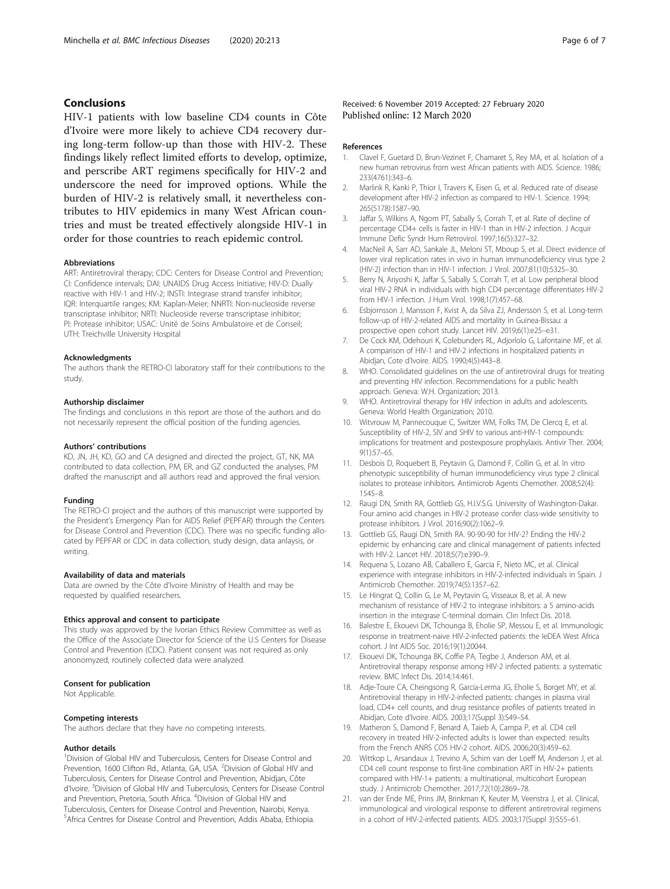## <span id="page-5-0"></span>Conclusions

HIV-1 patients with low baseline CD4 counts in Côte d'Ivoire were more likely to achieve CD4 recovery during long-term follow-up than those with HIV-2. These findings likely reflect limited efforts to develop, optimize, and perscribe ART regimens specifically for HIV-2 and underscore the need for improved options. While the burden of HIV-2 is relatively small, it nevertheless contributes to HIV epidemics in many West African countries and must be treated effectively alongside HIV-1 in order for those countries to reach epidemic control.

#### Abbreviations

ART: Antiretroviral therapy; CDC: Centers for Disease Control and Prevention; CI: Confidence intervals; DAI: UNAIDS Drug Access Initiative; HIV-D: Dually reactive with HIV-1 and HIV-2; INSTI: Integrase strand transfer inhibitor; IQR: Interquartile ranges; KM: Kaplan-Meier; NNRTI: Non-nucleoside reverse transcriptase inhibitor; NRTI: Nucleoside reverse transcriptase inhibitor; PI: Protease inhibitor; USAC: Unité de Soins Ambulatoire et de Conseil; UTH: Treichville University Hospital

#### Acknowledgments

The authors thank the RETRO-CI laboratory staff for their contributions to the study.

#### Authorship disclaimer

The findings and conclusions in this report are those of the authors and do not necessarily represent the official position of the funding agencies.

#### Authors' contributions

KD, JN, JH, KD, GO and CA designed and directed the project, GT, NK, MA contributed to data collection, PM, ER, and GZ conducted the analyses, PM drafted the manuscript and all authors read and approved the final version.

#### Funding

The RETRO-CI project and the authors of this manuscript were supported by the President's Emergency Plan for AIDS Relief (PEPFAR) through the Centers for Disease Control and Prevention (CDC). There was no specific funding allocated by PEPFAR or CDC in data collection, study design, data anlaysis, or writing.

#### Availability of data and materials

Data are owned by the Côte d'Ivoire Ministry of Health and may be requested by qualified researchers.

## Ethics approval and consent to participate

This study was approved by the Ivorian Ethics Review Committee as well as the Office of the Associate Director for Science of the U.S Centers for Disease Control and Prevention (CDC). Patient consent was not required as only anonomyzed, routinely collected data were analyzed.

#### Consent for publication

Not Applicable.

#### Competing interests

The authors declare that they have no competing interests.

#### Author details

<sup>1</sup> Division of Global HIV and Tuberculosis, Centers for Disease Control and Prevention, 1600 Clifton Rd., Atlanta, GA, USA. <sup>2</sup>Division of Global HIV and Tuberculosis, Centers for Disease Control and Prevention, Abidjan, Côte d'Ivoire. <sup>3</sup>Division of Global HIV and Tuberculosis, Centers for Disease Control and Prevention, Pretoria, South Africa. <sup>4</sup>Division of Global HIV and Tuberculosis, Centers for Disease Control and Prevention, Nairobi, Kenya. 5 Africa Centres for Disease Control and Prevention, Addis Ababa, Ethiopia.

#### References

- 1. Clavel F, Guetard D, Brun-Vezinet F, Chamaret S, Rey MA, et al. Isolation of a new human retrovirus from west African patients with AIDS. Science. 1986; 233(4761):343–6.
- 2. Marlink R, Kanki P, Thior I, Travers K, Eisen G, et al. Reduced rate of disease development after HIV-2 infection as compared to HIV-1. Science. 1994; 265(5178):1587–90.
- Jaffar S, Wilkins A, Ngom PT, Sabally S, Corrah T, et al. Rate of decline of percentage CD4+ cells is faster in HIV-1 than in HIV-2 infection. J Acquir Immune Defic Syndr Hum Retrovirol. 1997;16(5):327–32.
- 4. MacNeil A, Sarr AD, Sankale JL, Meloni ST, Mboup S, et al. Direct evidence of lower viral replication rates in vivo in human immunodeficiency virus type 2 (HIV-2) infection than in HIV-1 infection. J Virol. 2007;81(10):5325–30.
- 5. Berry N, Ariyoshi K, Jaffar S, Sabally S, Corrah T, et al. Low peripheral blood viral HIV-2 RNA in individuals with high CD4 percentage differentiates HIV-2 from HIV-1 infection. J Hum Virol. 1998;1(7):457–68.
- 6. Esbjornsson J, Mansson F, Kvist A, da Silva ZJ, Andersson S, et al. Long-term follow-up of HIV-2-related AIDS and mortality in Guinea-Bissau: a prospective open cohort study. Lancet HIV. 2019;6(1):e25–e31.
- 7. De Cock KM, Odehouri K, Colebunders RL, Adjorlolo G, Lafontaine MF, et al. A comparison of HIV-1 and HIV-2 infections in hospitalized patients in Abidjan, Cote d'Ivoire. AIDS. 1990;4(5):443–8.
- 8. WHO. Consolidated guidelines on the use of antiretroviral drugs for treating and preventing HIV infection. Recommendations for a public health approach. Geneva: W.H. Organization; 2013.
- 9. WHO. Antiretroviral therapy for HIV infection in adults and adolescents. Geneva: World Health Organization; 2010.
- 10. Witvrouw M, Pannecouque C, Switzer WM, Folks TM, De Clercq E, et al. Susceptibility of HIV-2, SIV and SHIV to various anti-HIV-1 compounds: implications for treatment and postexposure prophylaxis. Antivir Ther. 2004; 9(1):57–65.
- 11. Desbois D, Roquebert B, Peytavin G, Damond F, Collin G, et al. In vitro phenotypic susceptibility of human immunodeficiency virus type 2 clinical isolates to protease inhibitors. Antimicrob Agents Chemother. 2008;52(4): 1545–8.
- 12. Raugi DN, Smith RA, Gottlieb GS, H.I.V.S.G. University of Washington-Dakar. Four amino acid changes in HIV-2 protease confer class-wide sensitivity to protease inhibitors. J Virol. 2016;90(2):1062–9.
- 13. Gottlieb GS, Raugi DN, Smith RA. 90-90-90 for HIV-2? Ending the HIV-2 epidemic by enhancing care and clinical management of patients infected with HIV-2. Lancet HIV. 2018;5(7):e390–9.
- 14. Requena S, Lozano AB, Caballero E, Garcia F, Nieto MC, et al. Clinical experience with integrase inhibitors in HIV-2-infected individuals in Spain. J Antimicrob Chemother. 2019;74(5):1357–62.
- 15. Le Hingrat Q, Collin G, Le M, Peytavin G, Visseaux B, et al. A new mechanism of resistance of HIV-2 to integrase inhibitors: a 5 amino-acids insertion in the integrase C-terminal domain. Clin Infect Dis. 2018.
- 16. Balestre E, Ekouevi DK, Tchounga B, Eholie SP, Messou E, et al. Immunologic response in treatment-naive HIV-2-infected patients: the IeDEA West Africa cohort. J Int AIDS Soc. 2016;19(1):20044.
- 17. Ekouevi DK, Tchounga BK, Coffie PA, Tegbe J, Anderson AM, et al. Antiretroviral therapy response among HIV-2 infected patients: a systematic review. BMC Infect Dis. 2014;14:461.
- 18. Adje-Toure CA, Cheingsong R, Garcia-Lerma JG, Eholie S, Borget MY, et al. Antiretroviral therapy in HIV-2-infected patients: changes in plasma viral load, CD4+ cell counts, and drug resistance profiles of patients treated in Abidjan, Cote d'Ivoire. AIDS. 2003;17(Suppl 3):S49–54.
- 19. Matheron S, Damond F, Benard A, Taieb A, Campa P, et al. CD4 cell recovery in treated HIV-2-infected adults is lower than expected: results from the French ANRS CO5 HIV-2 cohort. AIDS. 2006;20(3):459–62.
- 20. Wittkop L, Arsandaux J, Trevino A, Schim van der Loeff M, Anderson J, et al. CD4 cell count response to first-line combination ART in HIV-2+ patients compared with HIV-1+ patients: a multinational, multicohort European study. J Antimicrob Chemother. 2017;72(10):2869–78.
- 21. van der Ende ME, Prins JM, Brinkman K, Keuter M, Veenstra J, et al. Clinical, immunological and virological response to different antiretroviral regimens in a cohort of HIV-2-infected patients. AIDS. 2003;17(Suppl 3):S55–61.